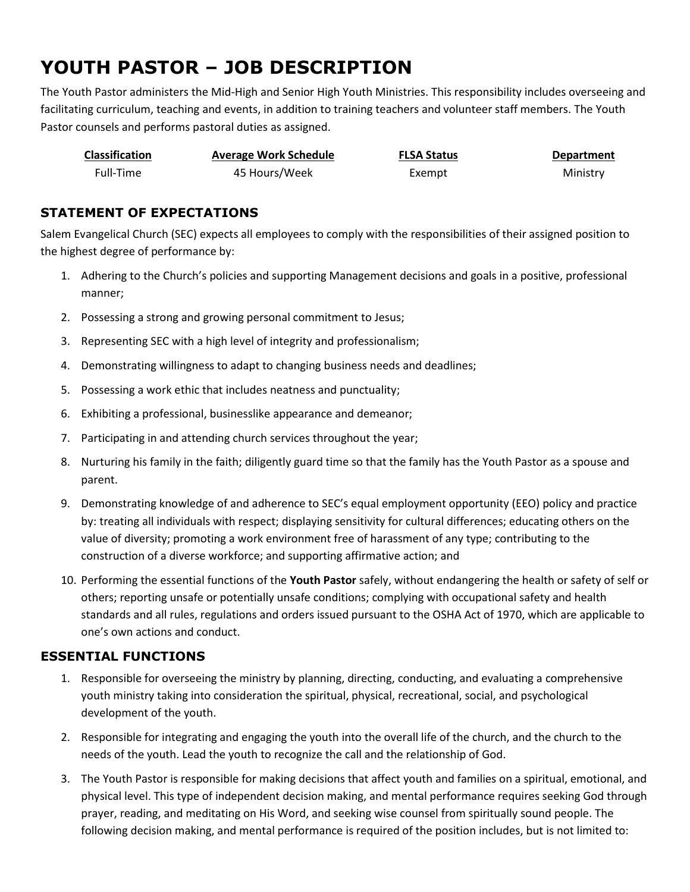# **YOUTH PASTOR – JOB DESCRIPTION**

The Youth Pastor administers the Mid-High and Senior High Youth Ministries. This responsibility includes overseeing and facilitating curriculum, teaching and events, in addition to training teachers and volunteer staff members. The Youth Pastor counsels and performs pastoral duties as assigned.

| <b>Classification</b> | <b>Average Work Schedule</b> | <b>FLSA Status</b> | <b>Department</b> |
|-----------------------|------------------------------|--------------------|-------------------|
| Full-Time             | 45 Hours/Week                | Exempt             | Ministry          |

## **STATEMENT OF EXPECTATIONS**

Salem Evangelical Church (SEC) expects all employees to comply with the responsibilities of their assigned position to the highest degree of performance by:

- 1. Adhering to the Church's policies and supporting Management decisions and goals in a positive, professional manner;
- 2. Possessing a strong and growing personal commitment to Jesus;
- 3. Representing SEC with a high level of integrity and professionalism;
- 4. Demonstrating willingness to adapt to changing business needs and deadlines;
- 5. Possessing a work ethic that includes neatness and punctuality;
- 6. Exhibiting a professional, businesslike appearance and demeanor;
- 7. Participating in and attending church services throughout the year;
- 8. Nurturing his family in the faith; diligently guard time so that the family has the Youth Pastor as a spouse and parent.
- 9. Demonstrating knowledge of and adherence to SEC's equal employment opportunity (EEO) policy and practice by: treating all individuals with respect; displaying sensitivity for cultural differences; educating others on the value of diversity; promoting a work environment free of harassment of any type; contributing to the construction of a diverse workforce; and supporting affirmative action; and
- 10. Performing the essential functions of the **Youth Pastor** safely, without endangering the health or safety of self or others; reporting unsafe or potentially unsafe conditions; complying with occupational safety and health standards and all rules, regulations and orders issued pursuant to the OSHA Act of 1970, which are applicable to one's own actions and conduct.

# **ESSENTIAL FUNCTIONS**

- 1. Responsible for overseeing the ministry by planning, directing, conducting, and evaluating a comprehensive youth ministry taking into consideration the spiritual, physical, recreational, social, and psychological development of the youth.
- 2. Responsible for integrating and engaging the youth into the overall life of the church, and the church to the needs of the youth. Lead the youth to recognize the call and the relationship of God.
- 3. The Youth Pastor is responsible for making decisions that affect youth and families on a spiritual, emotional, and physical level. This type of independent decision making, and mental performance requires seeking God through prayer, reading, and meditating on His Word, and seeking wise counsel from spiritually sound people. The following decision making, and mental performance is required of the position includes, but is not limited to: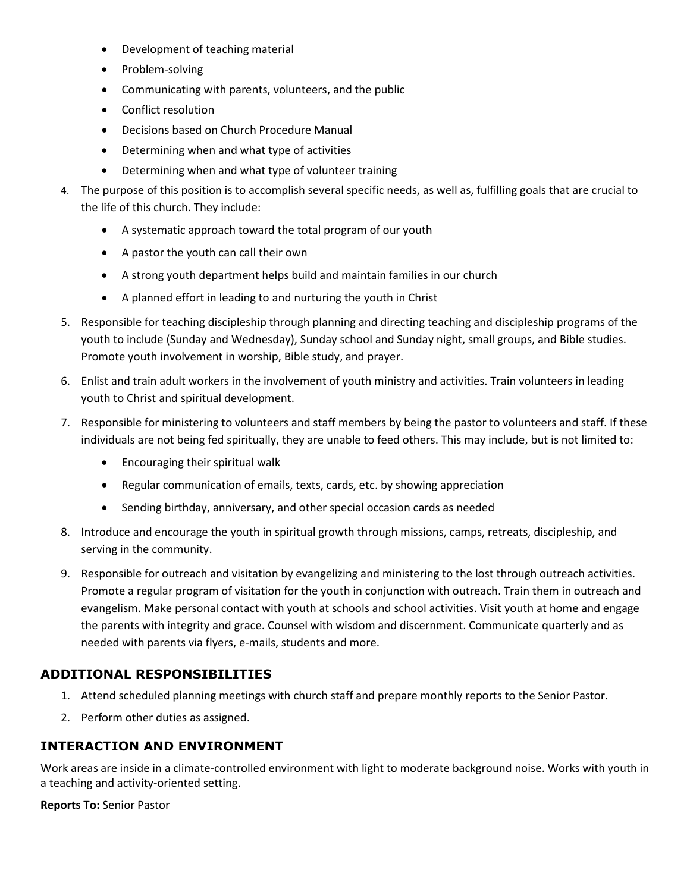- Development of teaching material
- Problem-solving
- Communicating with parents, volunteers, and the public
- Conflict resolution
- Decisions based on Church Procedure Manual
- Determining when and what type of activities
- Determining when and what type of volunteer training
- 4. The purpose of this position is to accomplish several specific needs, as well as, fulfilling goals that are crucial to the life of this church. They include:
	- A systematic approach toward the total program of our youth
	- A pastor the youth can call their own
	- A strong youth department helps build and maintain families in our church
	- A planned effort in leading to and nurturing the youth in Christ
- 5. Responsible for teaching discipleship through planning and directing teaching and discipleship programs of the youth to include (Sunday and Wednesday), Sunday school and Sunday night, small groups, and Bible studies. Promote youth involvement in worship, Bible study, and prayer.
- 6. Enlist and train adult workers in the involvement of youth ministry and activities. Train volunteers in leading youth to Christ and spiritual development.
- 7. Responsible for ministering to volunteers and staff members by being the pastor to volunteers and staff. If these individuals are not being fed spiritually, they are unable to feed others. This may include, but is not limited to:
	- Encouraging their spiritual walk
	- Regular communication of emails, texts, cards, etc. by showing appreciation
	- Sending birthday, anniversary, and other special occasion cards as needed
- 8. Introduce and encourage the youth in spiritual growth through missions, camps, retreats, discipleship, and serving in the community.
- 9. Responsible for outreach and visitation by evangelizing and ministering to the lost through outreach activities. Promote a regular program of visitation for the youth in conjunction with outreach. Train them in outreach and evangelism. Make personal contact with youth at schools and school activities. Visit youth at home and engage the parents with integrity and grace. Counsel with wisdom and discernment. Communicate quarterly and as needed with parents via flyers, e-mails, students and more.

# **ADDITIONAL RESPONSIBILITIES**

- 1. Attend scheduled planning meetings with church staff and prepare monthly reports to the Senior Pastor.
- 2. Perform other duties as assigned.

## **INTERACTION AND ENVIRONMENT**

Work areas are inside in a climate-controlled environment with light to moderate background noise. Works with youth in a teaching and activity-oriented setting.

**Reports To:** Senior Pastor